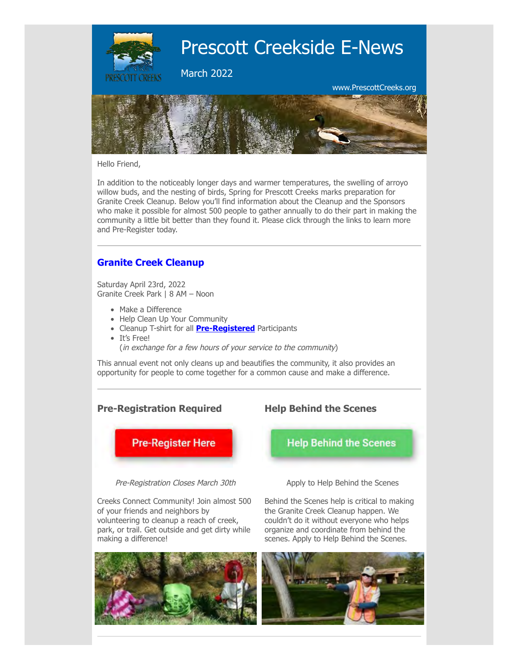

Hello Friend,

In addition to the noticeably longer days and warmer temperatures, the swelling of arroyo willow buds, and the nesting of birds, Spring for Prescott Creeks marks preparation for Granite Creek Cleanup. Below you'll find information about the Cleanup and the Sponsors who make it possible for almost 500 people to gather annually to do their part in making the community a little bit better than they found it. Please click through the links to learn more and Pre-Register today.

# **[Granite Creek Cleanup](https://prescottcreeks.org/cleanup/)**

Saturday April 23rd, 2022 Granite Creek Park | 8 AM – Noon

- Make a Difference
- Help Clean Up Your Community
- Cleanup T-shirt for all **[Pre-Registered](https://prescottcreeks.org/cleanup/)** Participants
- It's Free!
	- (in exchange for a few hours of your service to the community)

This annual event not only cleans up and beautifies the community, it also provides an opportunity for people to come together for a common cause and make a difference.

### **Pre-Registration Required**



Pre-Registration Closes March 30th

Creeks Connect Community! Join almost 500 of your friends and neighbors by volunteering to cleanup a reach of creek, park, or trail. Get outside and get dirty while making a difference!



**Help Behind the Scenes**

**Help Behind the Scenes** 

Apply to Help Behind the Scenes

Behind the Scenes help is critical to making the Granite Creek Cleanup happen. We couldn't do it without everyone who helps organize and coordinate from behind the scenes. Apply to Help Behind the Scenes.